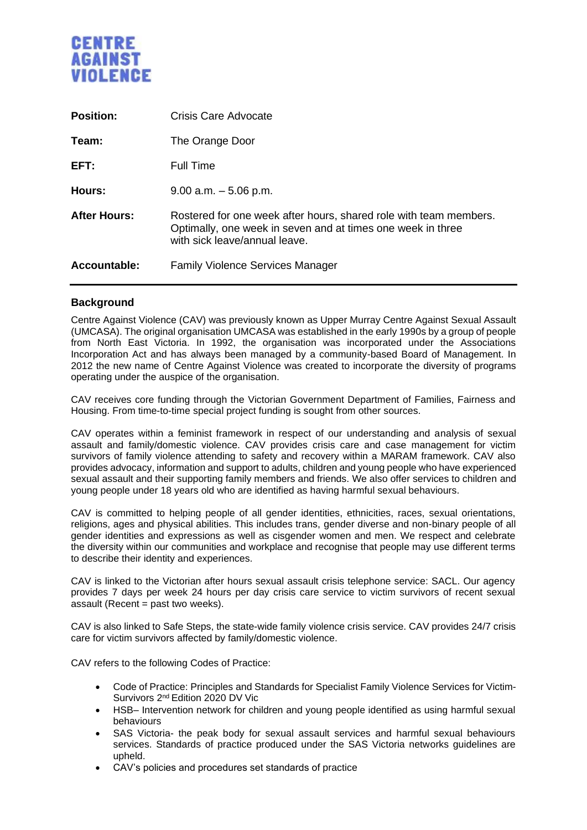

| <b>Position:</b>    | Crisis Care Advocate                                                                                                                                              |
|---------------------|-------------------------------------------------------------------------------------------------------------------------------------------------------------------|
| Team:               | The Orange Door                                                                                                                                                   |
| EFT:                | <b>Full Time</b>                                                                                                                                                  |
| Hours:              | $9.00$ a.m. $-5.06$ p.m.                                                                                                                                          |
| <b>After Hours:</b> | Rostered for one week after hours, shared role with team members.<br>Optimally, one week in seven and at times one week in three<br>with sick leave/annual leave. |
| <b>Accountable:</b> | <b>Family Violence Services Manager</b>                                                                                                                           |

## **Background**

Centre Against Violence (CAV) was previously known as Upper Murray Centre Against Sexual Assault (UMCASA). The original organisation UMCASA was established in the early 1990s by a group of people from North East Victoria. In 1992, the organisation was incorporated under the Associations Incorporation Act and has always been managed by a community-based Board of Management. In 2012 the new name of Centre Against Violence was created to incorporate the diversity of programs operating under the auspice of the organisation.

CAV receives core funding through the Victorian Government Department of Families, Fairness and Housing. From time-to-time special project funding is sought from other sources.

CAV operates within a feminist framework in respect of our understanding and analysis of sexual assault and family/domestic violence. CAV provides crisis care and case management for victim survivors of family violence attending to safety and recovery within a MARAM framework. CAV also provides advocacy, information and support to adults, children and young people who have experienced sexual assault and their supporting family members and friends. We also offer services to children and young people under 18 years old who are identified as having harmful sexual behaviours.

CAV is committed to helping people of all gender identities, ethnicities, races, sexual orientations, religions, ages and physical abilities. This includes trans, gender diverse and non-binary people of all gender identities and expressions as well as cisgender women and men. We respect and celebrate the diversity within our communities and workplace and recognise that people may use different terms to describe their identity and experiences.

CAV is linked to the Victorian after hours sexual assault crisis telephone service: SACL. Our agency provides 7 days per week 24 hours per day crisis care service to victim survivors of recent sexual assault (Recent = past two weeks).

CAV is also linked to Safe Steps, the state-wide family violence crisis service. CAV provides 24/7 crisis care for victim survivors affected by family/domestic violence.

CAV refers to the following Codes of Practice:

- Code of Practice: Principles and Standards for Specialist Family Violence Services for Victim-Survivors 2nd Edition 2020 DV Vic
- HSB– Intervention network for children and young people identified as using harmful sexual behaviours
- SAS Victoria- the peak body for sexual assault services and harmful sexual behaviours services. Standards of practice produced under the SAS Victoria networks guidelines are upheld.
- CAV's policies and procedures set standards of practice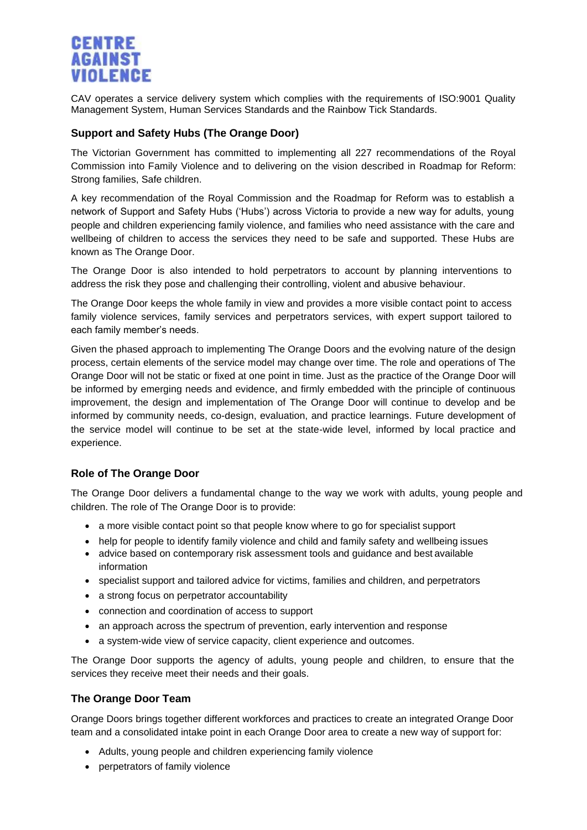

CAV operates a service delivery system which complies with the requirements of ISO:9001 Quality Management System, Human Services Standards and the Rainbow Tick Standards.

# **Support and Safety Hubs (The Orange Door)**

The Victorian Government has committed to implementing all 227 recommendations of the Royal Commission into Family Violence and to delivering on the vision described in Roadmap for Reform: Strong families, Safe children.

A key recommendation of the Royal Commission and the Roadmap for Reform was to establish a network of Support and Safety Hubs ('Hubs') across Victoria to provide a new way for adults, young people and children experiencing family violence, and families who need assistance with the care and wellbeing of children to access the services they need to be safe and supported. These Hubs are known as The Orange Door.

The Orange Door is also intended to hold perpetrators to account by planning interventions to address the risk they pose and challenging their controlling, violent and abusive behaviour.

The Orange Door keeps the whole family in view and provides a more visible contact point to access family violence services, family services and perpetrators services, with expert support tailored to each family member's needs.

Given the phased approach to implementing The Orange Doors and the evolving nature of the design process, certain elements of the service model may change over time. The role and operations of The Orange Door will not be static or fixed at one point in time. Just as the practice of the Orange Door will be informed by emerging needs and evidence, and firmly embedded with the principle of continuous improvement, the design and implementation of The Orange Door will continue to develop and be informed by community needs, co-design, evaluation, and practice learnings. Future development of the service model will continue to be set at the state-wide level, informed by local practice and experience.

## **Role of The Orange Door**

The Orange Door delivers a fundamental change to the way we work with adults, young people and children. The role of The Orange Door is to provide:

- a more visible contact point so that people know where to go for specialist support
- help for people to identify family violence and child and family safety and wellbeing issues
- advice based on contemporary risk assessment tools and guidance and best available information
- specialist support and tailored advice for victims, families and children, and perpetrators
- a strong focus on perpetrator accountability
- connection and coordination of access to support
- an approach across the spectrum of prevention, early intervention and response
- a system-wide view of service capacity, client experience and outcomes.

The Orange Door supports the agency of adults, young people and children, to ensure that the services they receive meet their needs and their goals.

## **The Orange Door Team**

Orange Doors brings together different workforces and practices to create an integrated Orange Door team and a consolidated intake point in each Orange Door area to create a new way of support for:

- Adults, young people and children experiencing family violence
- perpetrators of family violence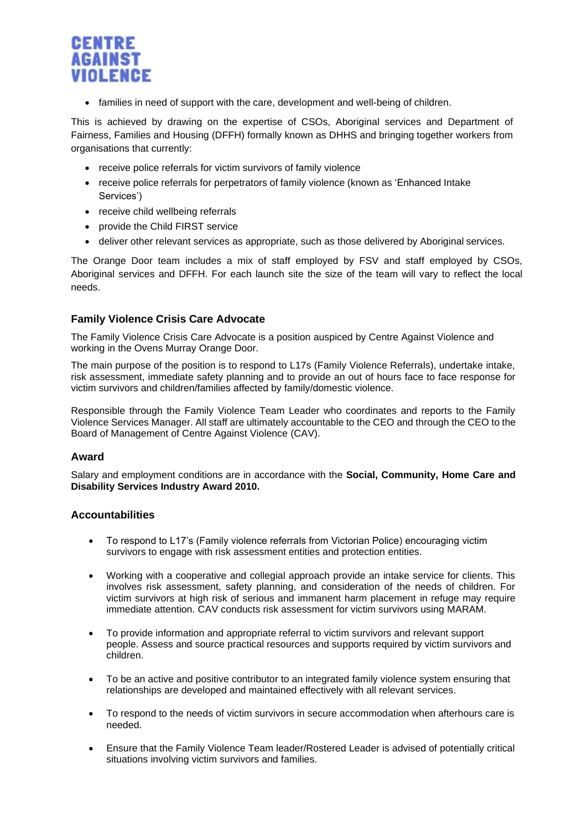

• families in need of support with the care, development and well-being of children.

This is achieved by drawing on the expertise of CSOs, Aboriginal services and Department of Fairness, Families and Housing (DFFH) formally known as DHHS and bringing together workers from organisations that currently:

- receive police referrals for victim survivors of family violence
- receive police referrals for perpetrators of family violence (known as 'Enhanced Intake Services')
- receive child wellbeing referrals
- provide the Child FIRST service
- deliver other relevant services as appropriate, such as those delivered by Aboriginal services.

The Orange Door team includes a mix of staff employed by FSV and staff employed by CSOs, Aboriginal services and DFFH. For each launch site the size of the team will vary to reflect the local needs.

## **Family Violence Crisis Care Advocate**

The Family Violence Crisis Care Advocate is a position auspiced by Centre Against Violence and working in the Ovens Murray Orange Door.

The main purpose of the position is to respond to L17s (Family Violence Referrals), undertake intake, risk assessment, immediate safety planning and to provide an out of hours face to face response for victim survivors and children/families affected by family/domestic violence.

Responsible through the Family Violence Team Leader who coordinates and reports to the Family Violence Services Manager. All staff are ultimately accountable to the CEO and through the CEO to the Board of Management of Centre Against Violence (CAV).

#### **Award**

Salary and employment conditions are in accordance with the **Social, Community, Home Care and Disability Services Industry Award 2010.** 

## **Accountabilities**

- To respond to L17's (Family violence referrals from Victorian Police) encouraging victim survivors to engage with risk assessment entities and protection entities.
- Working with a cooperative and collegial approach provide an intake service for clients. This involves risk assessment, safety planning, and consideration of the needs of children. For victim survivors at high risk of serious and immanent harm placement in refuge may require immediate attention. CAV conducts risk assessment for victim survivors using MARAM.
- To provide information and appropriate referral to victim survivors and relevant support people. Assess and source practical resources and supports required by victim survivors and children.
- To be an active and positive contributor to an integrated family violence system ensuring that relationships are developed and maintained effectively with all relevant services.
- To respond to the needs of victim survivors in secure accommodation when afterhours care is needed.
- Ensure that the Family Violence Team leader/Rostered Leader is advised of potentially critical situations involving victim survivors and families.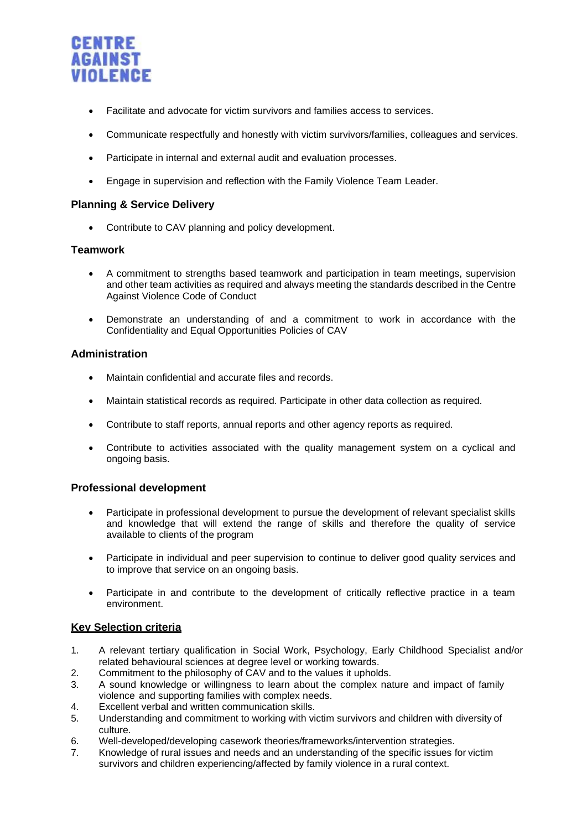

- Facilitate and advocate for victim survivors and families access to services.
- Communicate respectfully and honestly with victim survivors/families, colleagues and services.
- Participate in internal and external audit and evaluation processes.
- Engage in supervision and reflection with the Family Violence Team Leader.

### **Planning & Service Delivery**

• Contribute to CAV planning and policy development.

### **Teamwork**

- A commitment to strengths based teamwork and participation in team meetings, supervision and other team activities as required and always meeting the standards described in the Centre Against Violence Code of Conduct
- Demonstrate an understanding of and a commitment to work in accordance with the Confidentiality and Equal Opportunities Policies of CAV

### **Administration**

- Maintain confidential and accurate files and records.
- Maintain statistical records as required. Participate in other data collection as required.
- Contribute to staff reports, annual reports and other agency reports as required.
- Contribute to activities associated with the quality management system on a cyclical and ongoing basis.

## **Professional development**

- Participate in professional development to pursue the development of relevant specialist skills and knowledge that will extend the range of skills and therefore the quality of service available to clients of the program
- Participate in individual and peer supervision to continue to deliver good quality services and to improve that service on an ongoing basis.
- Participate in and contribute to the development of critically reflective practice in a team environment.

## **Key Selection criteria**

- 1. A relevant tertiary qualification in Social Work, Psychology, Early Childhood Specialist and/or related behavioural sciences at degree level or working towards.
- 2. Commitment to the philosophy of CAV and to the values it upholds.
- 3. A sound knowledge or willingness to learn about the complex nature and impact of family violence and supporting families with complex needs.
- 4. Excellent verbal and written communication skills.
- 5. Understanding and commitment to working with victim survivors and children with diversity of culture.
- 6. Well-developed/developing casework theories/frameworks/intervention strategies.
- 7. Knowledge of rural issues and needs and an understanding of the specific issues for victim survivors and children experiencing/affected by family violence in a rural context.